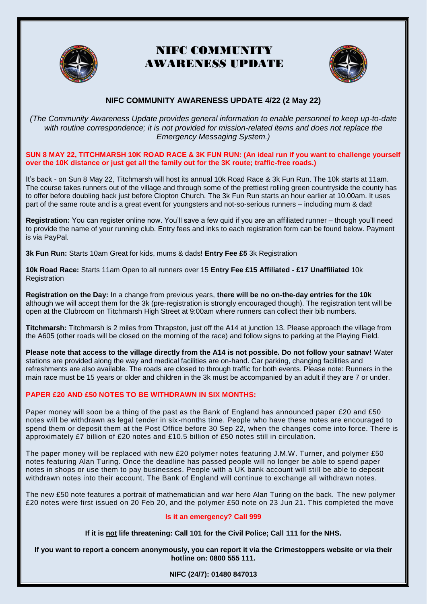

# NIFC COMMUNITY AWARENESS UPDATE



## **NIFC COMMUNITY AWARENESS UPDATE 4/22 (2 May 22)**

*(The Community Awareness Update provides general information to enable personnel to keep up-to-date with routine correspondence; it is not provided for mission-related items and does not replace the Emergency Messaging System.)*

## **SUN 8 MAY 22, TITCHMARSH 10K ROAD RACE & 3K FUN RUN: (An ideal run if you want to challenge yourself over the 10K distance or just get all the family out for the 3K route; traffic-free roads.)**

It's back - on Sun 8 May 22, Titchmarsh will host its annual 10k Road Race & 3k Fun Run. The 10k starts at 11am. The course takes runners out of the village and through some of the prettiest rolling green countryside the county has to offer before doubling back just before Clopton Church. The 3k Fun Run starts an hour earlier at 10.00am. It uses part of the same route and is a great event for youngsters and not-so-serious runners – including mum & dad!

**Registration:** You can register online now. You'll save a few quid if you are an affiliated runner – though you'll need to provide the name of your running club. Entry fees and inks to each registration form can be found below. Payment is via PayPal.

**3k Fun Run:** Starts 10am Great for kids, mums & dads! **Entry Fee £5** [3k Registration](https://titchmarshplayingfield.org.uk/3k-fun-run-registration/) 

**10k Road Race:** Starts 11am Open to all runners over 15 **Entry Fee £15 Affiliated - £17 Unaffiliated** [10k](https://titchmarshplayingfield.org.uk/10k-road-race/race-registration/)  [Registration](https://titchmarshplayingfield.org.uk/10k-road-race/race-registration/) 

**Registration on the Day:** In a change from previous years, **there will be no on-the-day entries for the 10k** although we will accept them for the 3k (pre-registration is strongly encouraged though). The registration tent will be open at the Clubroom on Titchmarsh High Street at 9:00am where runners can collect their bib numbers.

**Titchmarsh:** Titchmarsh is 2 miles from Thrapston, just off the A14 at junction 13. Please approach the village from the A605 (other roads will be closed on the morning of the race) and follow signs to parking at the Playing Field.

**Please note that access to the village directly from the A14 is not possible. Do not follow your satnav!** Water stations are provided along the way and medical facilities are on-hand. Car parking, changing facilities and refreshments are also available. The roads are closed to through traffic for both events. Please note: Runners in the main race must be 15 years or older and children in the 3k must be accompanied by an adult if they are 7 or under.

## **PAPER £20 AND £50 NOTES TO BE WITHDRAWN IN SIX MONTHS:**

Paper money will soon be a thing of the past as the Bank of England has announced paper £20 and £50 notes will be withdrawn as legal tender in six-months time. People who have these notes are encouraged to spend them or deposit them at the Post Office before 30 Sep 22, when the changes come into force. There is approximately £7 billion of £20 notes and £10.5 billion of £50 notes still in circulation.

The paper money will be replaced with new £20 polymer notes featuring J.M.W. Turner, and polymer £50 notes featuring Alan Turing. Once the deadline has passed people will no longer be able to spend paper notes in shops or use them to pay businesses. People with a UK bank account will sti ll be able to deposit withdrawn notes into their account. The Bank of England will continue to exchange all withdrawn notes.

The new £50 note features a portrait of mathematician and war hero Alan Turing on the back. The new polymer £20 notes were first issued on 20 Feb 20, and the polymer £50 note on 23 Jun 21. This completed the move

## **Is it an emergency? Call [999](tel:999)**

**If it is not life threatening: Call 101 for the Civil Police; Call 111 for the NHS.**

**If you want to report a concern anonymously, you can report it via the [Crimestoppers website](https://crimestoppers-uk.org/give-information/give-information-online/) or via their hotline on: 0800 555 111.**

**NIFC (24/7): 01480 847013**